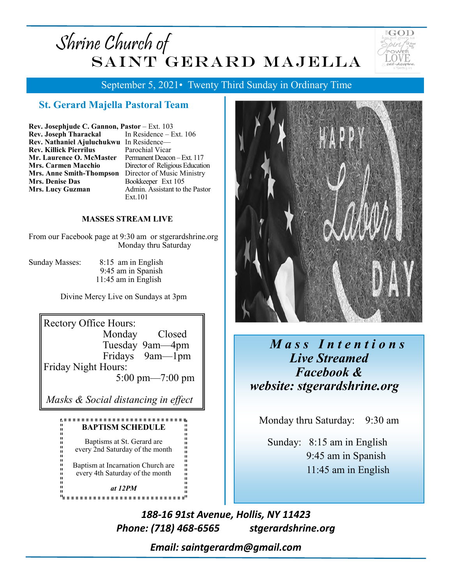# Shrine Church of SAINT GERARD MAJELLA



September 5, 2021• Twenty Third Sunday in Ordinary Time

### **St. Gerard Majella Pastoral Team**

| Rev. Josephjude C. Gannon, Pastor - Ext. 103   |                      |
|------------------------------------------------|----------------------|
| <b>Rev. Joseph Tharackal</b> In Residence – In |                      |
| Rev. Nathaniel Ajuluchukwu In Residence-       |                      |
| <b>Rev. Killick Pierrilus</b>                  | Parochial Vicar      |
| Mr. Laurence O. McMaster                       | Permanent Deacor     |
| <b>Mrs. Carmen Macchio</b>                     | Director of Religion |
| <b>Mrs. Anne Smith-Thompson</b>                | Director of Musi     |
| <b>Mrs. Denise Das</b>                         | Bookkeeper Ext       |
| <b>Mrs. Lucy Guzman</b>                        | Admin. Assistant     |
|                                                | <b>.</b>             |

 $\text{ice}-\text{Ext. }106$ Deacon – Ext. 117 Religious Education f Music Ministry r Ext 105 sistant to the Pastor  $Ext.101$ 

#### **MASSES STREAM LIVE**

From our Facebook page at 9:30 am or stgerardshrine.org Monday thru Saturday

Sunday Masses:  $8:15$  am in English 9:45 am in Spanish  $11:45$  am in English

Divine Mercy Live on Sundays at 3pm



every 4th Saturday of the month

at  $12PM$ 



## Mass Intentions Live Streamed **Facebook &** website: stgerardshrine.org

Monday thru Saturday: 9:30 am

Sunday:  $8:15$  am in English 9:45 am in Spanish 11:45 am in English

188-16 91st Avenue, Hollis, NY 11423 Phone: (718) 468-6565 stgerardshrine.org

Email: saintgerardm@gmail.com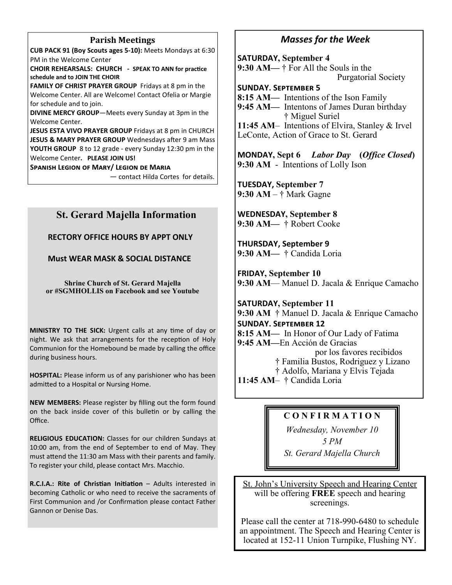#### **Parish Meetings**

CUB PACK 91 (Boy Scouts ages 5-10): Meets Mondays at 6:30 PM in the Welcome Center

CHOIR REHEARSALS: CHURCH - SPEAK TO ANN for practice schedule and to JOIN THE CHOIR

FAMILY OF CHRIST PRAYER GROUP Fridays at 8 pm in the Welcome Center. All are Welcome! Contact Ofelia or Margie for schedule and to join.

DIVINE MERCY GROUP-Meets every Sunday at 3pm in the Welcome Center.

JESUS ESTA VIVO PRAYER GROUP Fridays at 8 pm in CHURCH JESUS & MARY PRAYER GROUP Wednesdays after 9 am Mass YOUTH GROUP 8 to 12 grade - every Sunday 12:30 pm in the Welcome Center. PLEASE JOIN US!

**SPANISH LEGION OF MARY/ LEGION DE MARIA** 

- contact Hilda Cortes for details.

#### **St. Gerard Majella Information**

#### **RECTORY OFFICE HOURS BY APPT ONLY**

#### **Must WEAR MASK & SOCIAL DISTANCE**

**Shrine Church of St. Gerard Majella** or #SGMHOLLIS on Facebook and see Youtube

MINISTRY TO THE SICK: Urgent calls at any time of day or night. We ask that arrangements for the reception of Holy Communion for the Homebound be made by calling the office during business hours.

HOSPITAL: Please inform us of any parishioner who has been admitted to a Hospital or Nursing Home.

NEW MEMBERS: Please register by filling out the form found on the back inside cover of this bulletin or by calling the Office

RELIGIOUS EDUCATION: Classes for our children Sundays at 10:00 am, from the end of September to end of May. They must attend the 11:30 am Mass with their parents and family. To register your child, please contact Mrs. Macchio.

R.C.I.A.: Rite of Christian Initiation - Adults interested in becoming Catholic or who need to receive the sacraments of First Communion and /or Confirmation please contact Father Gannon or Denise Das.

#### **Masses for the Week**

**SATURDAY, September 4** 9:30 AM— $\dagger$  For All the Souls in the **Purgatorial Society SUNDAY, SEPTEMBER 5** 

8:15 AM— Intentions of the Ison Family 9:45 AM— Intentons of James Duran birthday † Miguel Suriel 11:45 AM - Intentions of Elvira, Stanley & Irvel LeConte, Action of Grace to St. Gerard

**MONDAY, Sept 6** *Labor Day* (Office Closed) 9:30 AM - Intentions of Lolly Ison

**TUESDAY, September 7** 9:30 AM  $-$  † Mark Gagne

**WEDNESDAY, September 8** 9:30 AM- † Robert Cooke

**THURSDAY, September 9** 9:30 AM - † Candida Loria

**FRIDAY, September 10** 9:30 AM— Manuel D. Jacala & Enrique Camacho

**SATURDAY, September 11** 9:30 AM † Manuel D. Jacala & Enrique Camacho **SUNDAY. SEPTEMBER 12** 8:15 AM— In Honor of Our Lady of Fatima 9:45 AM—En Acción de Gracias por los favores recibidos † Familia Bustos, Rodriguez y Lizano † Adolfo, Mariana y Elvis Tejada 11:45 AM- † Candida Loria

#### **CONFIRMATION**

Wednesday, November 10

5 PM

St. Gerard Majella Church

St. John's University Speech and Hearing Center will be offering FREE speech and hearing screenings.

Please call the center at 718-990-6480 to schedule an appointment. The Speech and Hearing Center is located at 152-11 Union Turnpike, Flushing NY.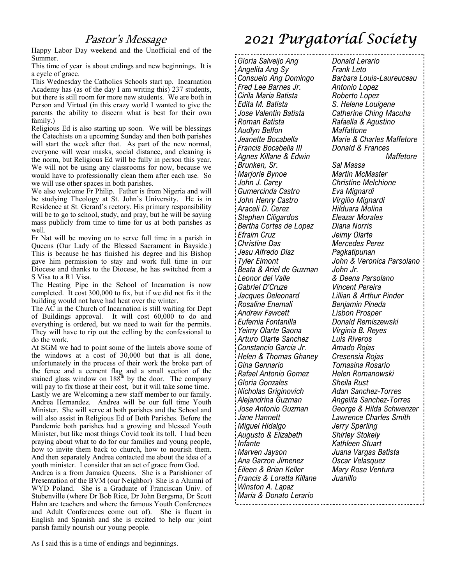### Pastor's Message

Happy Labor Day weekend and the Unofficial end of the Summer.

This time of year is about endings and new beginnings. It is a cycle of grace.

This Wednesday the Catholics Schools start up. Incarnation Academy has (as of the day I am writing this) 237 students, but there is still room for more new students. We are both in Person and Virtual (in this crazy world I wanted to give the parents the ability to discern what is best for their own family.)

Religious Ed is also starting up soon. We will be blessings the Catechists on a upcoming Sunday and then both parishes will start the week after that. As part of the new normal, everyone will wear masks, social distance, and cleaning is the norm, but Religious Ed will be fully in person this year. We will not be using any classrooms for now, because we would have to professionally clean them after each use. So we will use other spaces in both parishes.

We also welcome Fr Philip. Father is from Nigeria and will be studying Theology at St. John's University. He is in Residence at St. Gerard's rectory. His primary responsibility will be to go to school, study, and pray, but he will be saying mass publicly from time to time for us at both parishes as well.

Fr Nat will be moving on to serve full time in a parish in Queens (Our Lady of the Blessed Sacrament in Bayside.) This is because he has finished his degree and his Bishop gave him permission to stay and work full time in our Diocese and thanks to the Diocese, he has switched from a S Visa to a R1 Visa.

The Heating Pipe in the School of Incarnation is now completed. It cost 300,000 to fix, but if we did not fix it the building would not have had heat over the winter.

The  $AC$  in the Church of Incarnation is still waiting for Dept of Buildings approval. It will cost 60,000 to do and everything is ordered, but we need to wait for the permits. They will have to rip out the celling by the confessional to do the work.

At SGM we had to point some of the lintels above some of the windows at a cost of 30,000 but that is all done, unfortunately in the process of their work the broke part of the fence and a cement flag and a small section of the<br>stained glass window on 188<sup>th</sup> by the door. The company will pay to fix those at their cost, but it will take some time. Lastly we are Welcoming a new staff member to our family. Andrea Hernandez. Andrea will be our full time Youth Minister. She will serve at both parishes and the School and will also assist in Religious Ed of Both Parishes. Before the Pandemic both parishes had a growing and blessed Youth Minister, but like most things Covid took its toll. I had been praying about what to do for our families and young people, how to invite them back to church, how to nourish them. And then separately Andrea contacted me about the idea of a youth minister. I consider that an act of grace from God.

Andrea is a from Jamaica Queens. She is a Parishioner of Presentation of the BVM (our Neighbor) She is a Alumni of WYD Poland. She is a Graduate of Franciscan Univ. of Stubenville (where Dr Bob Rice, Dr John Bergsma, Dr Scott Hahn are teachers and where the famous Youth Conferences and Adult Conferences come out of). She is fluent in English and Spanish and she is excited to help our joint parish family nourish our young people.

As I said this is a time of endings and beginnings.

## 2021 Purgatoríal Society

Gloria Salveijo Ang Angelita Ang Sy Consuelo Ang Domingo Fred Lee Barnes Jr. Cirila Maria Batista Edita M. Batista Jose Valentin Batista Roman Batista **Audlyn Belfon** Jeanette Bocabella Francis Bocabella III Agnes Killane & Edwin Brunken, Sr. Marjorie Bynoe John J. Carey Gumercinda Castro John Henry Castro Araceli D. Cerez Stephen Ciligardos Bertha Cortes de Lopez Efraim Cruz **Christine Das** Jesu Alfredo Diaz **Tyler Eimont** Beata & Ariel de Guzman Leonor del Valle Gabriel D'Cruze Jacques Deleonard Rosaline Enemali **Andrew Fawcett** Eufemia Fontanilla Yeimy Olarte Gaona Arturo Olarte Sanchez Constancio Garcia Jr. Helen & Thomas Ghaney Gina Gennario Rafael Antonio Gomez Gloria Gonzales Nicholas Griginovich Aleiandrina Guzman Jose Antonio Guzman Jane Hannett Miguel Hidalgo Augusto & Elizabeth **Infante** Marven Javson Ana Garzon Jimenez Eileen & Brian Keller Francis & Loretta Killane Winston A. Lapaz Maria & Donato Lerario

**Donald Lerario Frank Leto** Barbara Louis-Laureuceau Antonio Lopez Roberto Lopez S. Helene Louigene **Catherine Ching Macuha** Rafaella & Agustino Maffattone Marie & Charles Maffetore Donald & Frances Maffetore Sal Massa **Martin McMaster Christine Melchione** Eva Mignardi Virgilio Mignardi Hilduara Molina Eleazar Morales Diana Norris Jeimy Olarte Mercedes Perez Pagkatipunan John & Veronica Parsolano John Jr. & Deena Parsolano Vincent Pereira Lillian & Arthur Pinder Benjamin Pineda Lisbon Prosper Donald Remiszewski Virginia B. Reves Luis Riveros Amado Rojas Cresensia Rojas Tomasina Rosario Helen Romanowski Sheila Rust **Adan Sanchez-Torres** Angelita Sanchez-Torres George & Hilda Schwenzer Lawrence Charles Smith Jerry Sperling **Shirley Stokely** Kathleen Stuart Juana Vargas Batista Oscar Velasquez Mary Rose Ventura Juanillo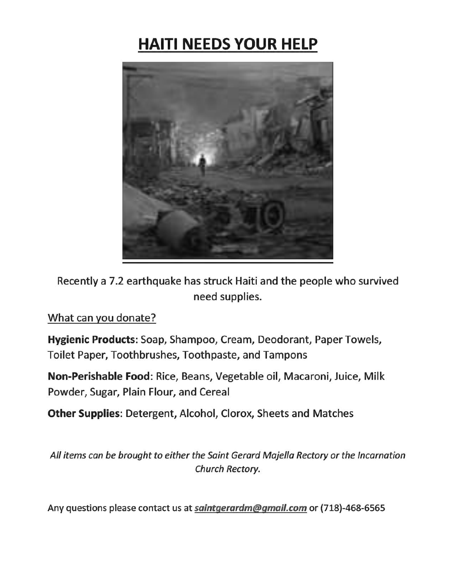## **HAITI NEEDS YOUR HELP**



Recently a 7.2 earthquake has struck Haiti and the people who survived need supplies.

What can you donate?

Hygienic Products: Soap, Shampoo, Cream, Deodorant, Paper Towels, Toilet Paper, Toothbrushes, Toothpaste, and Tampons

Non-Perishable Food: Rice, Beans, Vegetable oil, Macaroni, Juice, Milk Powder, Sugar, Plain Flour, and Cereal

Other Supplies: Detergent, Alcohol, Clorox, Sheets and Matches

All items can be brought to either the Saint Gerard Majella Rectory or the Incarnation Church Rectory.

Any questions please contact us at saintgerardm@gmail.com or (718)-468-6565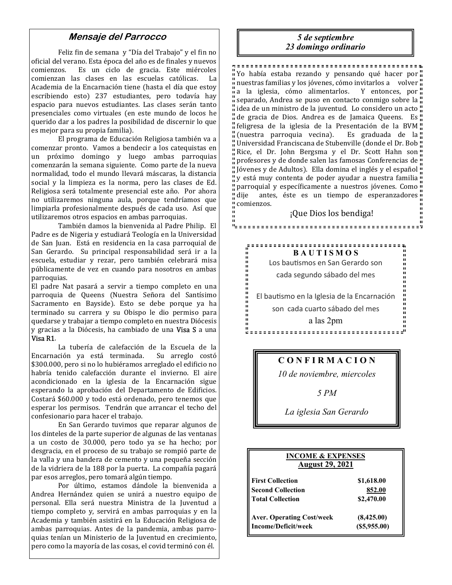#### Mensaje del Parrocco

Feliz fin de semana y "Día del Trabajo" y el fin no oficial del verano. Esta época del año es de finales y nuevos oncial del verano. Esta epoca del año es de miales y nuevos<br>comienzos. Es un ciclo de gracia. Este miércoles de se está estable normale se proposado se fueros comienzan las clases en las escuelas católicas. La Academia de la Encarnación tiene (hasta el día que estoy escribiendo esto) 237 estudiantes, pero todavía hay espacio para nuevos estudiantes. Las clases serán tanto presenciales como virtuales (en este mundo de locos he querido dar a los padres la posibilidad de discernir lo que es mejor para su propia familia).

El programa de Educación Religiosa también va a comenzar pronto. Vamos a bendecir a los catequistas en un próximo domingo y luego ambas parroquias comenzarán la semana siguiente. Como parte de la nueva normalidad, todo el mundo llevará máscaras, la distancia social y la limpieza es la norma, pero las clases de Ed. Religiosa será totalmente presencial este año. Por ahora no utilizaremos ninguna aula, porque tendríamos que limpiarla profesionalmente después de cada uso. Así que utilizaremos otros espacios en ambas parroquias.

También damos la bienvenida al Padre Philip. El Padre es de Nigeria y estudiará Teología en la Universidad de San Juan. Está en residencia en la casa parroquial de San Gerardo. Su principal responsabilidad será ir a la escuela, estudiar y rezar, pero también celebrará misa públicamente de vez en cuando para nosotros en ambas parroquias.

El padre Nat pasará a servir a tiempo completo en una parroquia de Queens (Nuestra Señora del Santísimo Sacramento en Bayside). Esto se debe porque ya ha terminado su carrera y su Obispo le dio permiso para quedarse y trabajar a tiempo completo en nuestra Diócesis y gracias a la Diócesis, ha cambiado de una Visa S a una Visa R1.

La tubería de calefacción de la Escuela de la Encarnación ya está terminada. Su arreglo costó  $$300.000$ , pero si no lo hubiéramos arreglado el edificio no habría tenido calefacción durante el invierno. El aire acondicionado en la iglesia de la Encarnación sigue esperando la aprobación del Departamento de Edificios. Costará \$60.000 y todo está ordenado, pero tenemos que esperar los permisos. Tendrán que arrancar el techo del confesionario para hacer el trabajo.

En San Gerardo tuvimos que reparar algunos de los dinteles de la parte superior de algunas de las ventanas a un costo de 30.000, pero todo ya se ha hecho; por desgracia, en el proceso de su trabajo se rompió parte de la valla y una bandera de cemento y una pequeña sección de la vidriera de la 188 por la puerta. La compañía pagará par esos arreglos, pero tomará algún tiempo.

Por último, estamos dándole la bienvenida a Andrea Hernández quien se unirá a nuestro equipo de personal. Ella será nuestra Ministra de la Juventud a tiempo completo y, servirá en ambas parroquias y en la Academia y también asistirá en la Educación Religiosa de ambas parroquias. Antes de la pandemia, ambas parroquias tenían un Ministerio de la Juventud en crecimiento. pero como la mayoría de las cosas, el covid terminó con él.

#### 5 de septiembre 23 domingo ordinario

Yo había estaba rezando y pensando qué hacer por " nuestras familias y los jóvenes, cómo invitarlos a volver  $\frac{1}{2}$  a la iglesia, cómo alimentarlos. Y entonces, por  $\frac{1}{2}$ " separado, Andrea se puso en contacto conmigo sobre la " " idea de un ministro de la juventud. Lo considero un acto " de gracia de Dios. Andrea es de Jamaica Queens. Es " feligresa de la iglesia de la Presentación de la BVM" " (nuestra parroquia vecina). Es graduada de la " " Universidad Franciscana de Stubenville (donde el Dr. Bob " Rice, el Dr. John Bergsma y el Dr. Scott Hahn son profesores y de donde salen las famosas Conferencias de ! " Jóvenes y de Adultos). Ella domina el inglés y el español " y está muy contenta de poder ayudar a nuestra familia !! parroquial y específicamente a nuestros jóvenes. Como endie die antes, éste es un tiempo de esperanzadores " comienzos. ¡Que Dios los bendiga!

**BAUTISMOS** Los bautismos en San Gerardo son cada segundo sábado del mes El bautismo en la Iglesia de la Encarnación son cada cuarto sábado del mes a las 2pm

<u> "secococococococococococococococococo</u>"

#### CONFIRMACION

10 de noviembre, miercoles

#### $5PM$

La iglesia San Gerardo

| <b>INCOME &amp; EXPENSES</b><br><b>August 29, 2021</b> |                 |
|--------------------------------------------------------|-----------------|
| <b>First Collection</b>                                | \$1,618.00      |
| <b>Second Collection</b>                               | 852.00          |
| <b>Total Collection</b>                                | \$2,470.00      |
| <b>Aver. Operating Cost/week</b>                       | (8,425.00)      |
| Income/Deficit/week                                    | $($ \$5,955.00) |